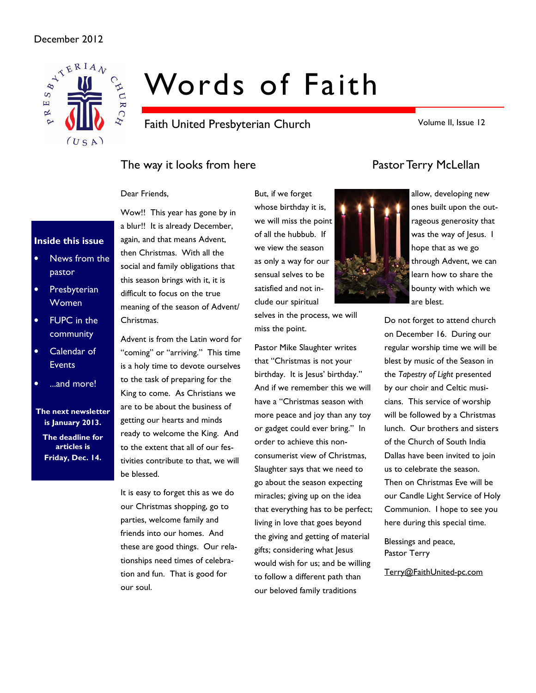

# Words of Faith

Faith United Presbyterian Church

Volume II, Issue 12

### The way it looks from here **Pastor Terry McLellan**

#### Dear Friends,

### Inside this issue

- News from the pastor
- Presbyterian Women
- FUPC in the community
- Calendar of Events
- ...and more!

The next newsletter is January 2013. The deadline for articles is Friday, Dec. 14.

Wow!! This year has gone by in a blur!! It is already December, again, and that means Advent, then Christmas. With all the social and family obligations that this season brings with it, it is difficult to focus on the true meaning of the season of Advent/ Christmas.

Advent is from the Latin word for "coming" or "arriving." This time is a holy time to devote ourselves to the task of preparing for the King to come. As Christians we are to be about the business of getting our hearts and minds ready to welcome the King. And to the extent that all of our festivities contribute to that, we will be blessed.

It is easy to forget this as we do our Christmas shopping, go to parties, welcome family and friends into our homes. And these are good things. Our relationships need times of celebration and fun. That is good for our soul.

whose birthday it is, we will miss the point of all the hubbub. If we view the season as only a way for our sensual selves to be satisfied and not include our spiritual

But, if we forget

selves in the process, we will miss the point.

Pastor Mike Slaughter writes that "Christmas is not your birthday. It is Jesus' birthday." And if we remember this we will have a "Christmas season with more peace and joy than any toy or gadget could ever bring." In order to achieve this nonconsumerist view of Christmas, Slaughter says that we need to go about the season expecting miracles; giving up on the idea that everything has to be perfect; living in love that goes beyond the giving and getting of material gifts; considering what Jesus would wish for us; and be willing to follow a different path than our beloved family traditions





Do not forget to attend church on December 16. During our regular worship time we will be blest by music of the Season in the Tapestry of Light presented by our choir and Celtic musicians. This service of worship will be followed by a Christmas lunch. Our brothers and sisters of the Church of South India Dallas have been invited to join us to celebrate the season. Then on Christmas Eve will be our Candle Light Service of Holy Communion. I hope to see you here during this special time.

Blessings and peace, Pastor Terry

Terry@FaithUnited-pc.com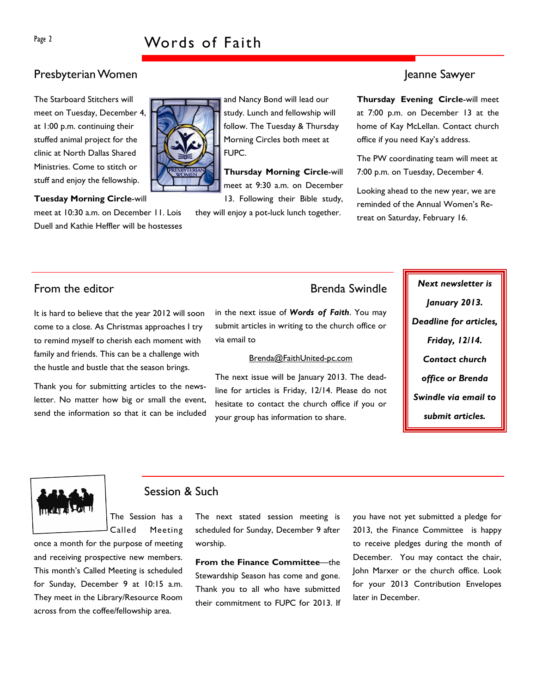### Presbyterian Women Jeanne Sawyer

The Starboard Stitchers will meet on Tuesday, December 4, at 1:00 p.m. continuing their stuffed animal project for the clinic at North Dallas Shared Ministries. Come to stitch or stuff and enjoy the fellowship.

Tuesday Morning Circle-will

meet at 10:30 a.m. on December 11. Lois Duell and Kathie Heffler will be hostesses



and Nancy Bond will lead our study. Lunch and fellowship will follow. The Tuesday & Thursday Morning Circles both meet at FUPC.

Thursday Morning Circle-will meet at 9:30 a.m. on December

13. Following their Bible study, they will enjoy a pot-luck lunch together.

Thursday Evening Circle-will meet at 7:00 p.m. on December 13 at the home of Kay McLellan. Contact church office if you need Kay's address.

The PW coordinating team will meet at 7:00 p.m. on Tuesday, December 4.

Looking ahead to the new year, we are reminded of the Annual Women's Retreat on Saturday, February 16.

It is hard to believe that the year 2012 will soon come to a close. As Christmas approaches I try to remind myself to cherish each moment with family and friends. This can be a challenge with the hustle and bustle that the season brings.

Thank you for submitting articles to the newsletter. No matter how big or small the event, send the information so that it can be included

in the next issue of Words of Faith. You may submit articles in writing to the church office or via email to

#### Brenda@FaithUnited-pc.com

The next issue will be January 2013. The deadline for articles is Friday, 12/14. Please do not hesitate to contact the church office if you or your group has information to share.

From the editor **Example 19 and Swindle Next newsletter** is January 2013. Deadline for articles, Friday, 12/14. Contact church office or Brenda Swindle via email to submit articles.



### Session & Such

The Session has a Called Meeting

once a month for the purpose of meeting and receiving prospective new members. This month's Called Meeting is scheduled for Sunday, December 9 at 10:15 a.m. They meet in the Library/Resource Room across from the coffee/fellowship area.

The next stated session meeting is scheduled for Sunday, December 9 after worship.

From the Finance Committee—the Stewardship Season has come and gone. Thank you to all who have submitted their commitment to FUPC for 2013. If you have not yet submitted a pledge for 2013, the Finance Committee is happy to receive pledges during the month of December. You may contact the chair, John Marxer or the church office. Look for your 2013 Contribution Envelopes later in December.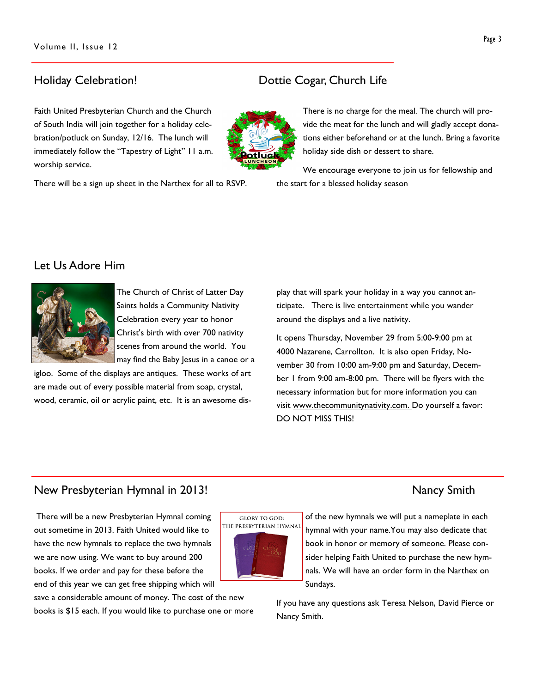Faith United Presbyterian Church and the Church of South India will join together for a holiday celebration/potluck on Sunday, 12/16. The lunch will immediately follow the "Tapestry of Light" 11 a.m. worship service.

There will be a sign up sheet in the Narthex for all to RSVP.

### Holiday Celebration! Dottie Cogar, Church Life

There is no charge for the meal. The church will provide the meat for the lunch and will gladly accept donations either beforehand or at the lunch. Bring a favorite holiday side dish or dessert to share.

We encourage everyone to join us for fellowship and the start for a blessed holiday season

### Let Us Adore Him



The Church of Christ of Latter Day Saints holds a Community Nativity Celebration every year to honor Christ's birth with over 700 nativity scenes from around the world. You may find the Baby Jesus in a canoe or a

igloo. Some of the displays are antiques. These works of art are made out of every possible material from soap, crystal, wood, ceramic, oil or acrylic paint, etc. It is an awesome display that will spark your holiday in a way you cannot anticipate. There is live entertainment while you wander around the displays and a live nativity.

It opens Thursday, November 29 from 5:00-9:00 pm at 4000 Nazarene, Carrollton. It is also open Friday, November 30 from 10:00 am-9:00 pm and Saturday, December 1 from 9:00 am-8:00 pm. There will be flyers with the necessary information but for more information you can visit www.thecommunitynativity.com. Do yourself a favor: DO NOT MISS THIS!

### New Presbyterian Hymnal in 2013! New York Smith

 There will be a new Presbyterian Hymnal coming out sometime in 2013. Faith United would like to have the new hymnals to replace the two hymnals we are now using. We want to buy around 200 books. If we order and pay for these before the end of this year we can get free shipping which will

save a considerable amount of money. The cost of the new books is \$15 each. If you would like to purchase one or more

**GLORY TO GOD:** THE PRESBYTERIAN HYMNAL



of the new hymnals we will put a nameplate in each hymnal with your name.You may also dedicate that book in honor or memory of someone. Please consider helping Faith United to purchase the new hymnals. We will have an order form in the Narthex on Sundays.

If you have any questions ask Teresa Nelson, David Pierce or Nancy Smith.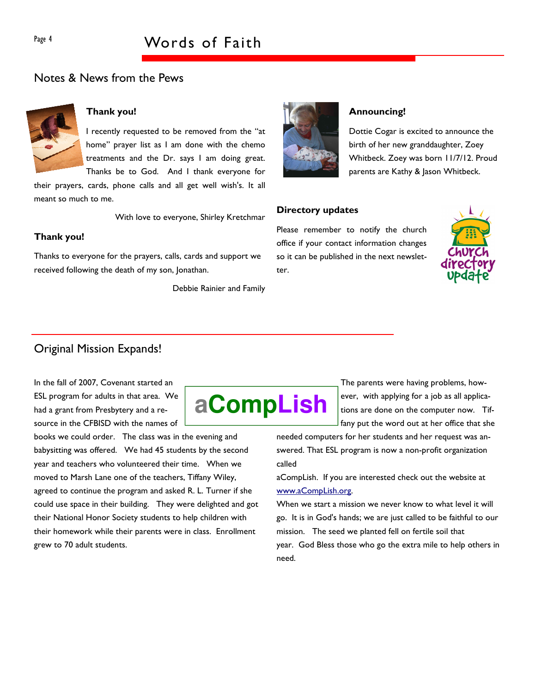### Notes & News from the Pews



### Thank you!

I recently requested to be removed from the "at home" prayer list as I am done with the chemo treatments and the Dr. says I am doing great. Thanks be to God. And I thank everyone for

their prayers, cards, phone calls and all get well wish's. It all meant so much to me.

With love to everyone, Shirley Kretchmar

### Thank you!

Thanks to everyone for the prayers, calls, cards and support we received following the death of my son, Jonathan.

Debbie Rainier and Family



#### Announcing!

Dottie Cogar is excited to announce the birth of her new granddaughter, Zoey Whitbeck. Zoey was born 11/7/12. Proud parents are Kathy & Jason Whitbeck.

#### Directory updates

Please remember to notify the church office if your contact information changes so it can be published in the next newsletter.



### Original Mission Expands!

In the fall of 2007, Covenant started an ESL program for adults in that area. We had a grant from Presbytery and a resource in the CFBISD with the names of

books we could order. The class was in the evening and babysitting was offered. We had 45 students by the second year and teachers who volunteered their time. When we moved to Marsh Lane one of the teachers, Tiffany Wiley, agreed to continue the program and asked R. L. Turner if she could use space in their building. They were delighted and got their National Honor Society students to help children with their homework while their parents were in class. Enrollment grew to 70 adult students.



The parents were having problems, however, with applying for a job as all applications are done on the computer now. Tiffany put the word out at her office that she

needed computers for her students and her request was answered. That ESL program is now a non-profit organization called

aCompLish. If you are interested check out the website at www.aCompLish.org.

When we start a mission we never know to what level it will go. It is in God's hands; we are just called to be faithful to our mission. The seed we planted fell on fertile soil that year. God Bless those who go the extra mile to help others in need.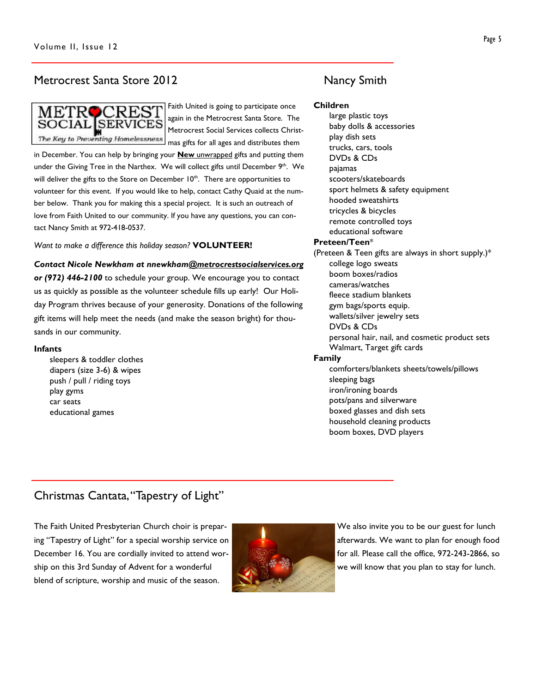### Metrocrest Santa Store 2012 Mancy Smith



Faith United is going to participate once again in the Metrocrest Santa Store. The Metrocrest Social Services collects Christmas gifts for all ages and distributes them

in December. You can help by bringing your **New unwrapped** gifts and putting them under the Giving Tree in the Narthex. We will collect gifts until December 9<sup>th</sup>. We will deliver the gifts to the Store on December  $10<sup>th</sup>$ . There are opportunities to volunteer for this event. If you would like to help, contact Cathy Quaid at the number below. Thank you for making this a special project. It is such an outreach of love from Faith United to our community. If you have any questions, you can contact Nancy Smith at 972-418-0537.

Want to make a difference this holiday season? VOLUNTEER!

Contact Nicole Newkham at nnewkham@metrocrestsocialservices.org

or (972) 446-2100 to schedule your group. We encourage you to contact us as quickly as possible as the volunteer schedule fills up early! Our Holiday Program thrives because of your generosity. Donations of the following gift items will help meet the needs (and make the season bright) for thousands in our community.

#### Infants

sleepers & toddler clothes diapers (size 3-6) & wipes push / pull / riding toys play gyms car seats educational games

Children

large plastic toys baby dolls & accessories play dish sets trucks, cars, tools DVDs & CDs pajamas scooters/skateboards sport helmets & safety equipment hooded sweatshirts tricycles & bicycles remote controlled toys educational software Preteen/Teen\* (Preteen & Teen gifts are always in short supply.)\* college logo sweats boom boxes/radios cameras/watches fleece stadium blankets gym bags/sports equip. wallets/silver jewelry sets DVDs & CDs personal hair, nail, and cosmetic product sets Walmart, Target gift cards Family comforters/blankets sheets/towels/pillows sleeping bags iron/ironing boards pots/pans and silverware boxed glasses and dish sets household cleaning products boom boxes, DVD players

## Christmas Cantata, "Tapestry of Light"

The Faith United Presbyterian Church choir is preparing "Tapestry of Light" for a special worship service on December 16. You are cordially invited to attend worship on this 3rd Sunday of Advent for a wonderful blend of scripture, worship and music of the season.



We also invite you to be our guest for lunch afterwards. We want to plan for enough food for all. Please call the office, 972-243-2866, so we will know that you plan to stay for lunch.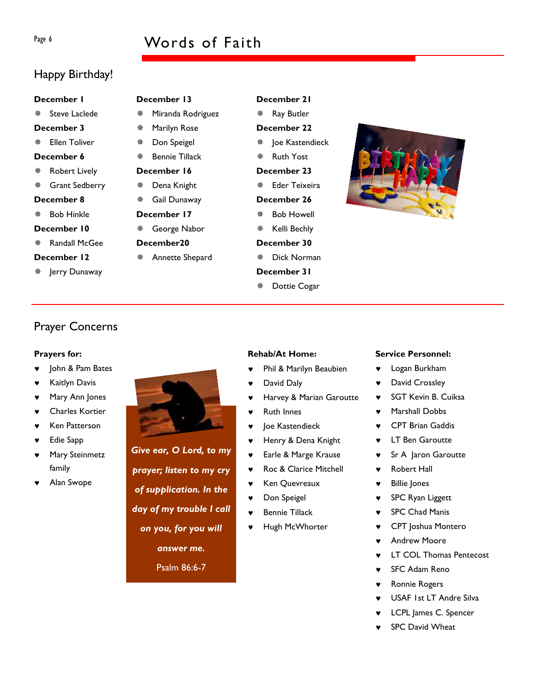## Page 6 Words of Faith

## Happy Birthday!

#### December 1

- **※ Steve Laclede**
- December 3
- ※ Fllen Toliver
- December 6
- Robert Lively
- Grant Sedberry
- December 8
- Bob Hinkle
- December 10
- Randall McGee
- December 12
- \* Jerry Dunaway

## December 13

- Miranda Rodriguez
- Marilyn Rose
- Don Speigel
- Bennie Tillack
- December 16
- Dena Knight
- Gail Dunaway December 17
- George Nabor
- December20
- Annette Shepard

## \* Ioe Kastendieck Ruth Yost

December 21 Ray Butler December 22

- December 23 Eder Teixeira
- December 26
- Bob Howell
- **※ Kelli Bechly**
- December 30
- Dick Norman
- December 31
- Dottie Cogar



## Prayer Concerns

### Prayers for:

- ♥ John & Pam Bates
- **Kaitlyn Davis**
- Mary Ann Jones
- ♥ Charles Kortier
- **Ken Patterson**
- **Edie Sapp**
- Mary Steinmetz family
- Alan Swope

### Rehab/At Home:

- Phil & Marilyn Beaubien
- David Daly
- Harvey & Marian Garoutte
- **Ruth Innes**
- Joe Kastendieck
- Henry & Dena Knight
- ♥ Earle & Marge Krause
- ♥ Roc & Clarice Mitchell
- ♥ Ken Quevreaux
- ♥ Don Speigel
- **Bennie Tillack**
- Hugh McWhorter

### Service Personnel:

- ♥ Logan Burkham
- ♥ David Crossley
- SGT Kevin B. Cuiksa
- Marshall Dobbs
- **CPT Brian Gaddis**
- ♥ LT Ben Garoutte
- Sr A Jaron Garoutte
- **Robert Hall** 
	- ♥ Billie Jones
	- ♥ SPC Ryan Liggett
	- ♥ SPC Chad Manis
	- CPT Joshua Montero
	- **Andrew Moore**
	- **LT COL Thomas Pentecost**
	- **SFC Adam Reno**
	- Ronnie Rogers
	- USAF 1st LT Andre Silva
	- LCPL James C. Spencer
	- **SPC David Wheat**



of supplication. In the day of my trouble I call on you, for you will

answer me.

Psalm 86:6-7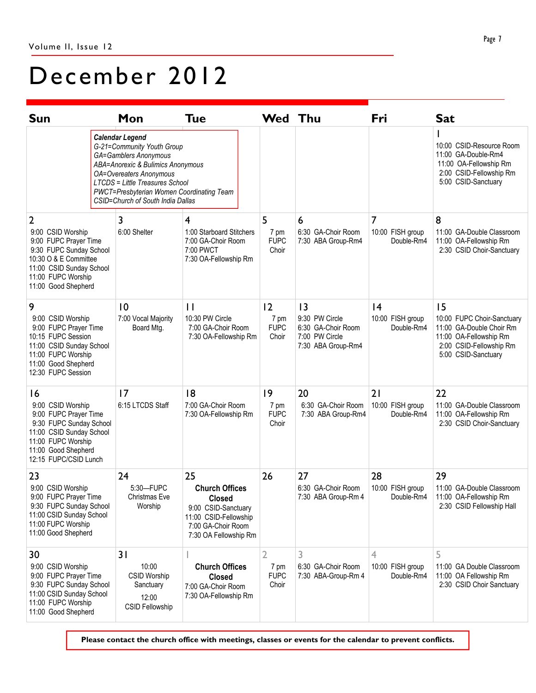# December 2012

| <b>Sun</b>                                                                                                                                                                    |  | Mon                                                                                                                                                                                                                                                                       | <b>Tue</b>                                                                                                                                  | <b>Wed Thu</b>                    |                                                                              | Fri                                  | <b>Sat</b>                                                                                                                         |
|-------------------------------------------------------------------------------------------------------------------------------------------------------------------------------|--|---------------------------------------------------------------------------------------------------------------------------------------------------------------------------------------------------------------------------------------------------------------------------|---------------------------------------------------------------------------------------------------------------------------------------------|-----------------------------------|------------------------------------------------------------------------------|--------------------------------------|------------------------------------------------------------------------------------------------------------------------------------|
|                                                                                                                                                                               |  | <b>Calendar Legend</b><br>G-21=Community Youth Group<br>GA=Gamblers Anonymous<br>ABA=Anorexic & Bulimics Anonymous<br><b>OA=Overeaters Anonymous</b><br>LTCDS = Little Treasures School<br>PWCT=Presbyterian Women Coordinating Team<br>CSID=Church of South India Dallas |                                                                                                                                             |                                   |                                                                              |                                      | 10:00 CSID-Resource Room<br>11:00 GA-Double-Rm4<br>11:00 OA-Fellowship Rm<br>2:00 CSID-Fellowship Rm<br>5:00 CSID-Sanctuary        |
| 2                                                                                                                                                                             |  | 3                                                                                                                                                                                                                                                                         | 4                                                                                                                                           | 5                                 | 6                                                                            | 7                                    | 8                                                                                                                                  |
| 9:00 CSID Worship<br>9:00 FUPC Prayer Time<br>9:30 FUPC Sunday School<br>10:30 O & E Committee<br>11:00 CSID Sunday School<br>11:00 FUPC Worship<br>11:00 Good Shepherd       |  | 6:00 Shelter                                                                                                                                                                                                                                                              | 1:00 Starboard Stitchers<br>7:00 GA-Choir Room<br>7:00 PWCT<br>7:30 OA-Fellowship Rm                                                        | 7 pm<br><b>FUPC</b><br>Choir      | 6:30 GA-Choir Room<br>7:30 ABA Group-Rm4                                     | 10:00 FISH group<br>Double-Rm4       | 11:00 GA-Double Classroom<br>11:00 OA-Fellowship Rm<br>2:30 CSID Choir-Sanctuary                                                   |
| 9                                                                                                                                                                             |  | 10                                                                                                                                                                                                                                                                        | $\mathbf{1}$                                                                                                                                | 2                                 | 3                                                                            | 4                                    | 15                                                                                                                                 |
| 9:00 CSID Worship<br>9:00 FUPC Prayer Time<br>10:15 FUPC Session<br>11:00 CSID Sunday School<br>11:00 FUPC Worship<br>11:00 Good Shepherd<br>12:30 FUPC Session               |  | 7:00 Vocal Majority<br>Board Mtg.                                                                                                                                                                                                                                         | 10:30 PW Circle<br>7:00 GA-Choir Room<br>7:30 OA-Fellowship Rm                                                                              | 7 pm<br><b>FUPC</b><br>Choir      | 9:30 PW Circle<br>6:30 GA-Choir Room<br>7:00 PW Circle<br>7:30 ABA Group-Rm4 | 10:00 FISH group<br>Double-Rm4       | 10:00 FUPC Choir-Sanctuary<br>11:00 GA-Double Choir Rm<br>11:00 OA-Fellowship Rm<br>2:00 CSID-Fellowship Rm<br>5:00 CSID-Sanctuary |
| 16<br>9:00 CSID Worship<br>9:00 FUPC Prayer Time<br>9:30 FUPC Sunday School<br>11:00 CSID Sunday School<br>11:00 FUPC Worship<br>11:00 Good Shepherd<br>12:15 FUPC/CSID Lunch |  | 17<br>6:15 LTCDS Staff                                                                                                                                                                                                                                                    | 8<br>7:00 GA-Choir Room<br>7:30 OA-Fellowship Rm                                                                                            | 9<br>7 pm<br><b>FUPC</b><br>Choir | 20<br>6:30 GA-Choir Room<br>7:30 ABA Group-Rm4                               | 21<br>10:00 FISH group<br>Double-Rm4 | 22<br>11:00 GA-Double Classroom<br>11:00 OA-Fellowship Rm<br>2:30 CSID Choir-Sanctuary                                             |
| 23<br>9:00 CSID Worship<br>9:00 FUPC Prayer Time<br>9:30 FUPC Sunday School<br>11:00 CSID Sunday School<br>11:00 FUPC Worship<br>11:00 Good Shepherd                          |  | 24<br>5:30-FUPC<br>Christmas Eve<br>Worship                                                                                                                                                                                                                               | 25<br><b>Church Offices</b><br><b>Closed</b><br>9:00 CSID-Sanctuary<br>11:00 CSID-Fellowship<br>7:00 GA-Choir Room<br>7:30 OA Fellowship Rm | 26                                | 27<br>6:30 GA-Choir Room<br>7:30 ABA Group-Rm 4                              | 28<br>10:00 FISH group<br>Double-Rm4 | 29<br>11:00 GA-Double Classroom<br>11:00 OA-Fellowship Rm<br>2:30 CSID Fellowship Hall                                             |
| 30<br>9:00 CSID Worship<br>9:00 FUPC Prayer Time<br>9:30 FUPC Sunday School<br>11:00 CSID Sunday School<br>11:00 FUPC Worship<br>11:00 Good Shepherd                          |  | 31<br>10:00<br><b>CSID Worship</b><br>Sanctuary<br>12:00<br><b>CSID Fellowship</b>                                                                                                                                                                                        | <b>Church Offices</b><br><b>Closed</b><br>7:00 GA-Choir Room<br>7:30 OA-Fellowship Rm                                                       | 2<br>7 pm<br><b>FUPC</b><br>Choir | 3<br>6:30 GA-Choir Room<br>7:30 ABA-Group-Rm 4                               | 4<br>10:00 FISH group<br>Double-Rm4  | 5<br>11:00 GA Double Classroom<br>11:00 OA Fellowship Rm<br>2:30 CSID Choir Sanctuary                                              |

Please contact the church office with meetings, classes or events for the calendar to prevent conflicts.